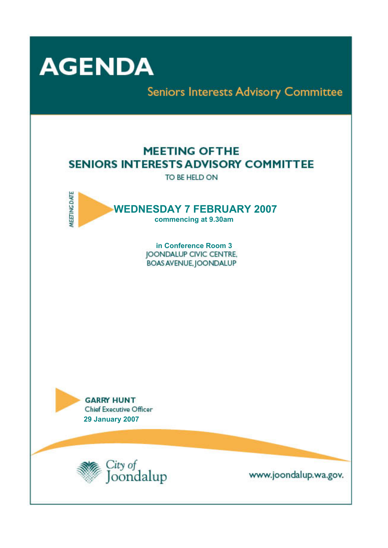

**Seniors Interests Advisory Committee** 

# **MEETING OF THE SENIORS INTERESTS ADVISORY COMMITTEE**

TO BE HELD ON



**in Conference Room 3**  JOONDALUP CIVIC CENTRE, **BOAS AVENUE, JOONDALUP** 





www.joondalup.wa.gov.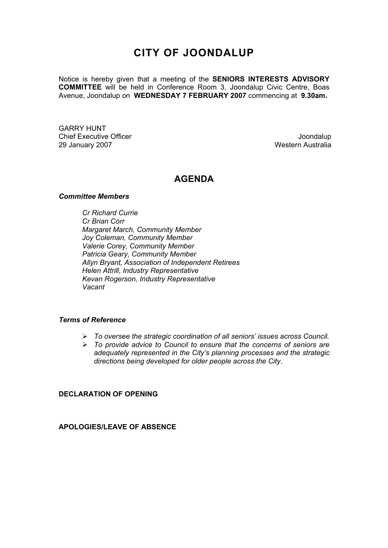# **CITY OF JOONDALUP**

Notice is hereby given that a meeting of the **SENIORS INTERESTS ADVISORY COMMITTEE** will be held in Conference Room 3, Joondalup Civic Centre, Boas Avenue, Joondalup on **WEDNESDAY 7 FEBRUARY 2007** commencing at **9.30am.** 

GARRY HUNT Chief Executive Officer **Joondalup** 29 January 2007 **Western Australia** 

# **AGENDA**

#### *Committee Members*

*Cr Richard Currie Cr Brian Corr Margaret March, Community Member Joy Coleman, Community Member Valerie Corey, Community Member Patricia Geary, Community Member Allyn Bryant, Association of Independent Retirees Helen Attrill, Industry Representative Kevan Rogerson, Industry Representative Vacant* 

#### *Terms of Reference*

- ¾ *To oversee the strategic coordination of all seniors' issues across Council.*
- ¾ *To provide advice to Council to ensure that the concerns of seniors are adequately represented in the City's planning processes and the strategic directions being developed for older people across the City.*

**DECLARATION OF OPENING** 

**APOLOGIES/LEAVE OF ABSENCE**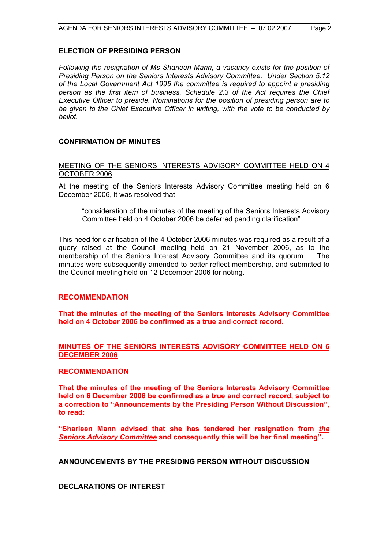#### **ELECTION OF PRESIDING PERSON**

*Following the resignation of Ms Sharleen Mann, a vacancy exists for the position of Presiding Person on the Seniors Interests Advisory Committee. Under Section 5.12 of the Local Government Act 1995 the committee is required to appoint a presiding person as the first item of business. Schedule 2.3 of the Act requires the Chief Executive Officer to preside. Nominations for the position of presiding person are to be given to the Chief Executive Officer in writing, with the vote to be conducted by ballot.* 

# **CONFIRMATION OF MINUTES**

#### MEETING OF THE SENIORS INTERESTS ADVISORY COMMITTEE HELD ON 4 OCTOBER 2006

At the meeting of the Seniors Interests Advisory Committee meeting held on 6 December 2006, it was resolved that:

"consideration of the minutes of the meeting of the Seniors Interests Advisory Committee held on 4 October 2006 be deferred pending clarification".

This need for clarification of the 4 October 2006 minutes was required as a result of a query raised at the Council meeting held on 21 November 2006, as to the membership of the Seniors Interest Advisory Committee and its quorum. The minutes were subsequently amended to better reflect membership, and submitted to the Council meeting held on 12 December 2006 for noting.

# **RECOMMENDATION**

**That the minutes of the meeting of the Seniors Interests Advisory Committee held on 4 October 2006 be confirmed as a true and correct record.** 

# **MINUTES OF THE SENIORS INTERESTS ADVISORY COMMITTEE HELD ON 6 DECEMBER 2006**

#### **RECOMMENDATION**

**That the minutes of the meeting of the Seniors Interests Advisory Committee held on 6 December 2006 be confirmed as a true and correct record, subject to a correction to "Announcements by the Presiding Person Without Discussion", to read:** 

**"Sharleen Mann advised that she has tendered her resignation from** *the Seniors Advisory Committee* **and consequently this will be her final meeting".** 

**ANNOUNCEMENTS BY THE PRESIDING PERSON WITHOUT DISCUSSION** 

**DECLARATIONS OF INTEREST**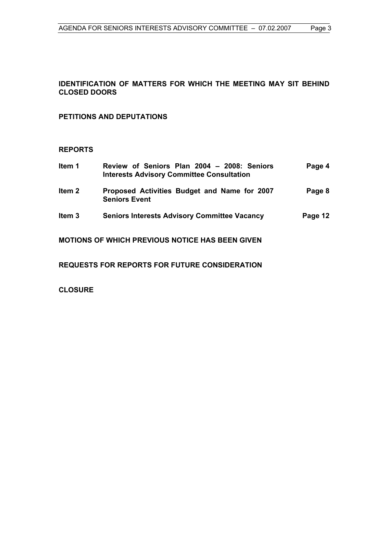# **IDENTIFICATION OF MATTERS FOR WHICH THE MEETING MAY SIT BEHIND CLOSED DOORS**

# **PETITIONS AND DEPUTATIONS**

# **REPORTS**

| Item 1            | Review of Seniors Plan 2004 - 2008: Seniors<br><b>Interests Advisory Committee Consultation</b> | Page 4  |
|-------------------|-------------------------------------------------------------------------------------------------|---------|
| Item <sub>2</sub> | Proposed Activities Budget and Name for 2007<br><b>Seniors Event</b>                            | Page 8  |
| Item <sub>3</sub> | <b>Seniors Interests Advisory Committee Vacancy</b>                                             | Page 12 |
|                   | <b>MOTIONS OF WHICH PREVIOUS NOTICE HAS BEEN GIVEN</b>                                          |         |

**REQUESTS FOR REPORTS FOR FUTURE CONSIDERATION** 

**CLOSURE**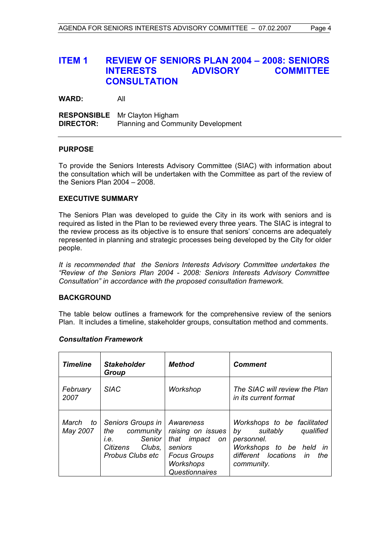# **ITEM 1 REVIEW OF SENIORS PLAN 2004 – 2008: SENIORS INTERESTS ADVISORY COMMITTEE CONSULTATION**

**WARD:** All

**RESPONSIBLE** Mr Clayton Higham **DIRECTOR:** Planning and Community Development

#### **PURPOSE**

To provide the Seniors Interests Advisory Committee (SIAC) with information about the consultation which will be undertaken with the Committee as part of the review of the Seniors Plan 2004 – 2008.

#### **EXECUTIVE SUMMARY**

The Seniors Plan was developed to guide the City in its work with seniors and is required as listed in the Plan to be reviewed every three years. The SIAC is integral to the review process as its objective is to ensure that seniors' concerns are adequately represented in planning and strategic processes being developed by the City for older people.

*It is recommended that the Seniors Interests Advisory Committee undertakes the "Review of the Seniors Plan 2004 - 2008: Seniors Interests Advisory Committee Consultation" in accordance with the proposed consultation framework.* 

#### **BACKGROUND**

The table below outlines a framework for the comprehensive review of the seniors Plan. It includes a timeline, stakeholder groups, consultation method and comments.

| Timeline         | <b>Stakeholder</b><br>Group                                                                             | Method                                                                                                                      | <b>Comment</b>                                                                                                                                     |
|------------------|---------------------------------------------------------------------------------------------------------|-----------------------------------------------------------------------------------------------------------------------------|----------------------------------------------------------------------------------------------------------------------------------------------------|
| February<br>2007 | <b>SIAC</b>                                                                                             | Workshop                                                                                                                    | The SIAC will review the Plan<br>in its current format                                                                                             |
| May 2007         | March to Seniors Groups in<br>the community<br>Senior<br>i.e.<br>Citizens<br>Clubs,<br>Probus Clubs etc | Awareness<br>raising on issues<br>that impact<br>on<br>seniors<br><b>Focus Groups</b><br><b>Workshops</b><br>Questionnaires | Workshops to be facilitated<br>suitably<br>qualified<br>by<br>personnel.<br>Workshops to be held in<br>different locations in<br>the<br>community. |

#### *Consultation Framework*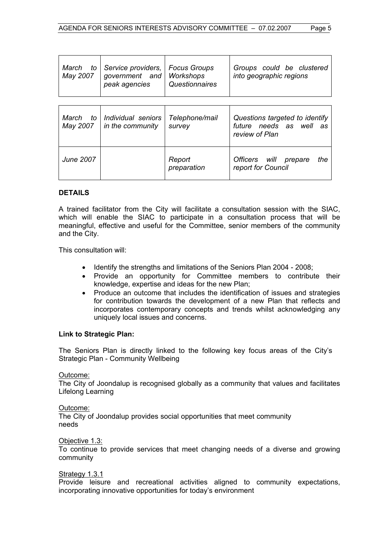| March to<br>May 2007 | Service providers,<br>government and<br>peak agencies | <b>Focus Groups</b><br><b>Workshops</b><br>Questionnaires | Groups could be clustered<br>into geographic regions                        |
|----------------------|-------------------------------------------------------|-----------------------------------------------------------|-----------------------------------------------------------------------------|
| March to<br>May 2007 | Individual seniors<br>in the community                | Telephone/mail<br>survey                                  | Questions targeted to identify<br>future needs as well as<br>review of Plan |
| June 2007            |                                                       | Report<br>preparation                                     | Officers will prepare<br>the<br>report for Council                          |

# **DETAILS**

A trained facilitator from the City will facilitate a consultation session with the SIAC, which will enable the SIAC to participate in a consultation process that will be meaningful, effective and useful for the Committee, senior members of the community and the City.

This consultation will:

- Identify the strengths and limitations of the Seniors Plan 2004 2008;
- Provide an opportunity for Committee members to contribute their knowledge, expertise and ideas for the new Plan;
- Produce an outcome that includes the identification of issues and strategies for contribution towards the development of a new Plan that reflects and incorporates contemporary concepts and trends whilst acknowledging any uniquely local issues and concerns.

#### **Link to Strategic Plan:**

The Seniors Plan is directly linked to the following key focus areas of the City's Strategic Plan - Community Wellbeing

Outcome:

The City of Joondalup is recognised globally as a community that values and facilitates Lifelong Learning

Outcome:

The City of Joondalup provides social opportunities that meet community needs

Objective 1.3:

To continue to provide services that meet changing needs of a diverse and growing community

Strategy 1.3.1

Provide leisure and recreational activities aligned to community expectations, incorporating innovative opportunities for today's environment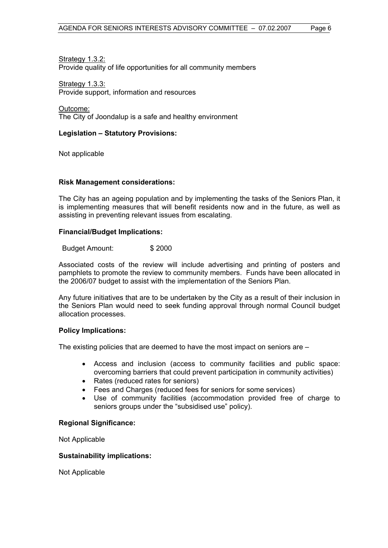**Strategy 1.3.2:** Provide quality of life opportunities for all community members

Strategy 1.3.3: Provide support, information and resources

Outcome: The City of Joondalup is a safe and healthy environment

# **Legislation – Statutory Provisions:**

Not applicable

#### **Risk Management considerations:**

The City has an ageing population and by implementing the tasks of the Seniors Plan, it is implementing measures that will benefit residents now and in the future, as well as assisting in preventing relevant issues from escalating.

#### **Financial/Budget Implications:**

Budget Amount: \$ 2000

Associated costs of the review will include advertising and printing of posters and pamphlets to promote the review to community members. Funds have been allocated in the 2006/07 budget to assist with the implementation of the Seniors Plan.

Any future initiatives that are to be undertaken by the City as a result of their inclusion in the Seniors Plan would need to seek funding approval through normal Council budget allocation processes.

#### **Policy Implications:**

The existing policies that are deemed to have the most impact on seniors are –

- Access and inclusion (access to community facilities and public space: overcoming barriers that could prevent participation in community activities)
- Rates (reduced rates for seniors)
- Fees and Charges (reduced fees for seniors for some services)
- Use of community facilities (accommodation provided free of charge to seniors groups under the "subsidised use" policy).

#### **Regional Significance:**

Not Applicable

#### **Sustainability implications:**

Not Applicable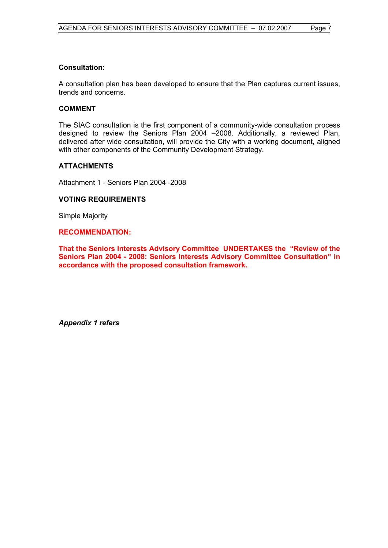# **Consultation:**

A consultation plan has been developed to ensure that the Plan captures current issues, trends and concerns.

# **COMMENT**

The SIAC consultation is the first component of a community-wide consultation process designed to review the Seniors Plan 2004 –2008. Additionally, a reviewed Plan, delivered after wide consultation, will provide the City with a working document, aligned with other components of the Community Development Strategy.

# **ATTACHMENTS**

Attachment 1 - Seniors Plan 2004 -2008

# **VOTING REQUIREMENTS**

Simple Majority

#### **RECOMMENDATION:**

**That the Seniors Interests Advisory Committee UNDERTAKES the "Review of the Seniors Plan 2004 - 2008: Seniors Interests Advisory Committee Consultation" in accordance with the proposed consultation framework.** 

*Appendix 1 refers*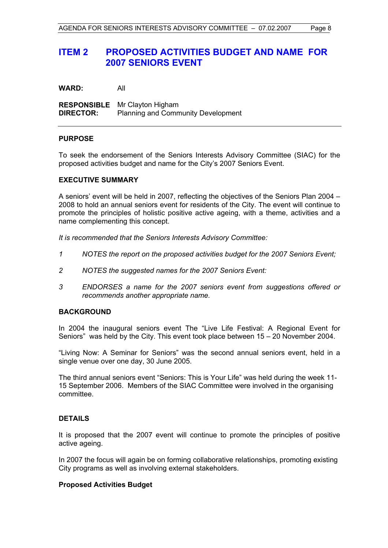# **ITEM 2 PROPOSED ACTIVITIES BUDGET AND NAME FOR 2007 SENIORS EVENT**

**WARD:** All

**RESPONSIBLE** Mr Clayton Higham **DIRECTOR:** Planning and Community Development

#### **PURPOSE**

To seek the endorsement of the Seniors Interests Advisory Committee (SIAC) for the proposed activities budget and name for the City's 2007 Seniors Event.

#### **EXECUTIVE SUMMARY**

A seniors' event will be held in 2007, reflecting the objectives of the Seniors Plan 2004 – 2008 to hold an annual seniors event for residents of the City. The event will continue to promote the principles of holistic positive active ageing, with a theme, activities and a name complementing this concept.

*It is recommended that the Seniors Interests Advisory Committee:* 

- *1 NOTES the report on the proposed activities budget for the 2007 Seniors Event;*
- *2 NOTES the suggested names for the 2007 Seniors Event:*
- *3 ENDORSES a name for the 2007 seniors event from suggestions offered or recommends another appropriate name.*

# **BACKGROUND**

In 2004 the inaugural seniors event The "Live Life Festival: A Regional Event for Seniors" was held by the City. This event took place between 15 – 20 November 2004.

"Living Now: A Seminar for Seniors" was the second annual seniors event, held in a single venue over one day, 30 June 2005.

The third annual seniors event "Seniors: This is Your Life" was held during the week 11- 15 September 2006.Members of the SIAC Committee were involved in the organising committee.

#### **DETAILS**

It is proposed that the 2007 event will continue to promote the principles of positive active ageing.

In 2007 the focus will again be on forming collaborative relationships, promoting existing City programs as well as involving external stakeholders.

#### **Proposed Activities Budget**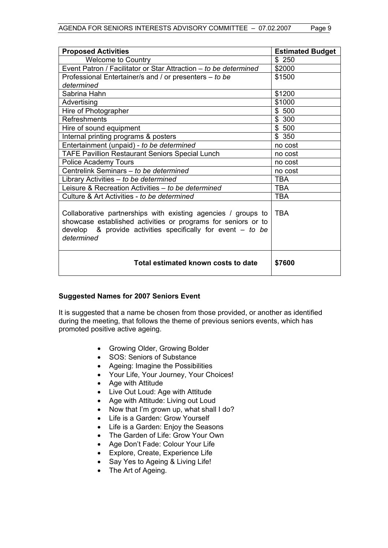| <b>Proposed Activities</b>                                                                                                                                                                                    | <b>Estimated Budget</b> |  |
|---------------------------------------------------------------------------------------------------------------------------------------------------------------------------------------------------------------|-------------------------|--|
| <b>Welcome to Country</b>                                                                                                                                                                                     | \$250                   |  |
| Event Patron / Facilitator or Star Attraction - to be determined                                                                                                                                              | \$2000                  |  |
| Professional Entertainer/s and / or presenters – to be                                                                                                                                                        | \$1500                  |  |
| determined                                                                                                                                                                                                    |                         |  |
| Sabrina Hahn                                                                                                                                                                                                  | \$1200                  |  |
| Advertising                                                                                                                                                                                                   | \$1000                  |  |
| Hire of Photographer                                                                                                                                                                                          | \$500                   |  |
| Refreshments                                                                                                                                                                                                  | \$300                   |  |
| Hire of sound equipment                                                                                                                                                                                       | \$500                   |  |
| Internal printing programs & posters                                                                                                                                                                          | \$350                   |  |
| Entertainment (unpaid) - to be determined                                                                                                                                                                     | no cost                 |  |
| TAFE Pavillion Restaurant Seniors Special Lunch                                                                                                                                                               | no cost                 |  |
| <b>Police Academy Tours</b>                                                                                                                                                                                   | no cost                 |  |
| Centrelink Seminars - to be determined                                                                                                                                                                        | no cost                 |  |
| Library Activities - to be determined                                                                                                                                                                         | <b>TBA</b>              |  |
| Leisure & Recreation Activities - to be determined                                                                                                                                                            | TBA                     |  |
| Culture & Art Activities - to be determined                                                                                                                                                                   | <b>TBA</b>              |  |
| Collaborative partnerships with existing agencies / groups to<br>showcase established activities or programs for seniors or to<br>develop & provide activities specifically for event $-$ to be<br>determined | <b>TBA</b>              |  |
| Total estimated known costs to date                                                                                                                                                                           | \$7600                  |  |

# **Suggested Names for 2007 Seniors Event**

It is suggested that a name be chosen from those provided, or another as identified during the meeting, that follows the theme of previous seniors events, which has promoted positive active ageing.

- Growing Older, Growing Bolder
- SOS: Seniors of Substance
- Ageing: Imagine the Possibilities
- Your Life, Your Journey, Your Choices!
- Age with Attitude
- Live Out Loud: Age with Attitude
- Age with Attitude: Living out Loud
- Now that I'm grown up, what shall I do?
- Life is a Garden: Grow Yourself
- Life is a Garden: Enjoy the Seasons
- The Garden of Life: Grow Your Own
- Age Don't Fade: Colour Your Life
- Explore, Create, Experience Life
- Say Yes to Ageing & Living Life!
- The Art of Ageing.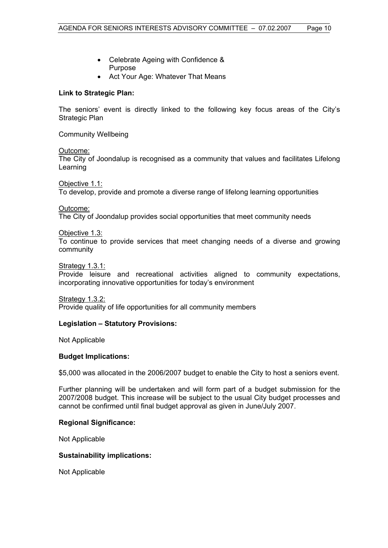- Celebrate Ageing with Confidence & Purpose
- Act Your Age: Whatever That Means

# **Link to Strategic Plan:**

The seniors' event is directly linked to the following key focus areas of the City's Strategic Plan

Community Wellbeing

Outcome:

The City of Joondalup is recognised as a community that values and facilitates Lifelong Learning

Objective 1.1:

To develop, provide and promote a diverse range of lifelong learning opportunities

Outcome:

The City of Joondalup provides social opportunities that meet community needs

Objective 1.3:

To continue to provide services that meet changing needs of a diverse and growing community

Strategy 1.3.1:

Provide leisure and recreational activities aligned to community expectations, incorporating innovative opportunities for today's environment

Strategy 1.3.2:

Provide quality of life opportunities for all community members

#### **Legislation – Statutory Provisions:**

Not Applicable

#### **Budget Implications:**

\$5,000 was allocated in the 2006/2007 budget to enable the City to host a seniors event.

Further planning will be undertaken and will form part of a budget submission for the 2007/2008 budget. This increase will be subject to the usual City budget processes and cannot be confirmed until final budget approval as given in June/July 2007.

#### **Regional Significance:**

Not Applicable

#### **Sustainability implications:**

Not Applicable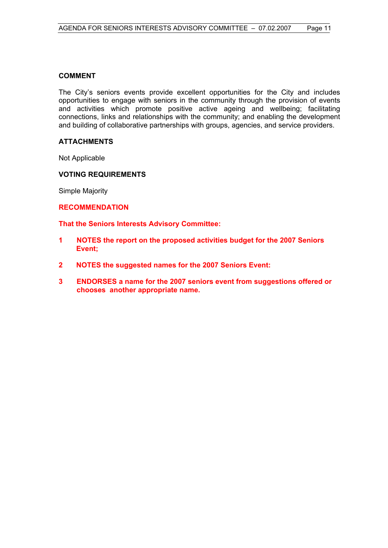# **COMMENT**

The City's seniors events provide excellent opportunities for the City and includes opportunities to engage with seniors in the community through the provision of events and activities which promote positive active ageing and wellbeing; facilitating connections, links and relationships with the community; and enabling the development and building of collaborative partnerships with groups, agencies, and service providers.

# **ATTACHMENTS**

Not Applicable

# **VOTING REQUIREMENTS**

Simple Majority

# **RECOMMENDATION**

**That the Seniors Interests Advisory Committee:** 

- **1 NOTES the report on the proposed activities budget for the 2007 Seniors Event;**
- **2 NOTES the suggested names for the 2007 Seniors Event:**
- **3 ENDORSES a name for the 2007 seniors event from suggestions offered or chooses another appropriate name.**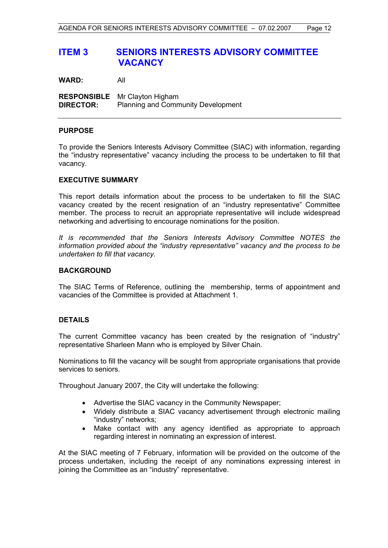# **ITEM 3 SENIORS INTERESTS ADVISORY COMMITTEE VACANCY**

**WARD:** All

**RESPONSIBLE** Mr Clayton Higham **DIRECTOR:** Planning and Community Development

# **PURPOSE**

To provide the Seniors Interests Advisory Committee (SIAC) with information, regarding the "industry representative" vacancy including the process to be undertaken to fill that vacancy.

# **EXECUTIVE SUMMARY**

This report details information about the process to be undertaken to fill the SIAC vacancy created by the recent resignation of an "industry representative" Committee member. The process to recruit an appropriate representative will include widespread networking and advertising to encourage nominations for the position.

*It is recommended that the Seniors Interests Advisory Committee NOTES the information provided about the "industry representative" vacancy and the process to be undertaken to fill that vacancy.*

#### **BACKGROUND**

The SIAC Terms of Reference, outlining the membership, terms of appointment and vacancies of the Committee is provided at Attachment 1.

# **DETAILS**

The current Committee vacancy has been created by the resignation of "industry" representative Sharleen Mann who is employed by Silver Chain.

Nominations to fill the vacancy will be sought from appropriate organisations that provide services to seniors.

Throughout January 2007, the City will undertake the following:

- Advertise the SIAC vacancy in the Community Newspaper;
- Widely distribute a SIAC vacancy advertisement through electronic mailing "industry" networks;
- Make contact with any agency identified as appropriate to approach regarding interest in nominating an expression of interest.

At the SIAC meeting of 7 February, information will be provided on the outcome of the process undertaken, including the receipt of any nominations expressing interest in joining the Committee as an "industry" representative.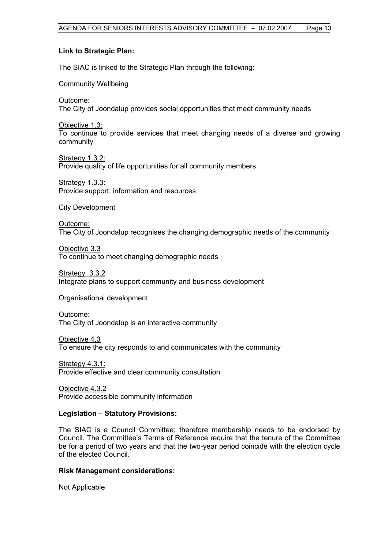# **Link to Strategic Plan:**

The SIAC is linked to the Strategic Plan through the following:

Community Wellbeing

Outcome:

The City of Joondalup provides social opportunities that meet community needs

Objective 1.3: To continue to provide services that meet changing needs of a diverse and growing community

Strategy 1.3.2: Provide quality of life opportunities for all community members

Strategy 1.3.3: Provide support, information and resources

City Development

Outcome: The City of Joondalup recognises the changing demographic needs of the community

Objective 3.3 To continue to meet changing demographic needs

Strategy 3.3.2 Integrate plans to support community and business development

Organisational development

Outcome: The City of Joondalup is an interactive community

Objective 4.3 To ensure the city responds to and communicates with the community

Strategy 4.3.1: Provide effective and clear community consultation

Objective 4.3.2 Provide accessible community information

# **Legislation – Statutory Provisions:**

The SIAC is a Council Committee; therefore membership needs to be endorsed by Council. The Committee's Terms of Reference require that the tenure of the Committee be for a period of two years and that the two-year period coincide with the election cycle of the elected Council.

#### **Risk Management considerations:**

Not Applicable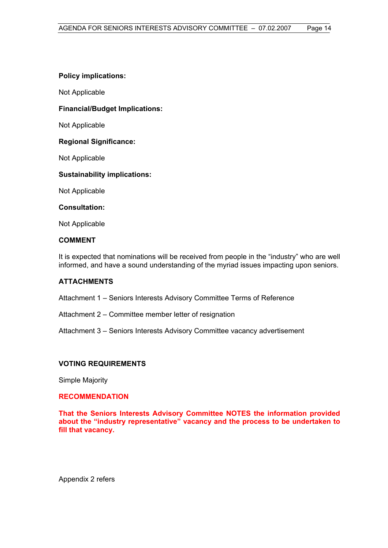# **Policy implications:**

Not Applicable

# **Financial/Budget Implications:**

Not Applicable

# **Regional Significance:**

Not Applicable

# **Sustainability implications:**

Not Applicable

# **Consultation:**

Not Applicable

# **COMMENT**

It is expected that nominations will be received from people in the "industry" who are well informed, and have a sound understanding of the myriad issues impacting upon seniors.

# **ATTACHMENTS**

Attachment 1 – Seniors Interests Advisory Committee Terms of Reference

Attachment 2 – Committee member letter of resignation

Attachment 3 – Seniors Interests Advisory Committee vacancy advertisement

# **VOTING REQUIREMENTS**

Simple Majority

# **RECOMMENDATION**

**That the Seniors Interests Advisory Committee NOTES the information provided about the "industry representative" vacancy and the process to be undertaken to fill that vacancy.** 

Appendix 2 refers